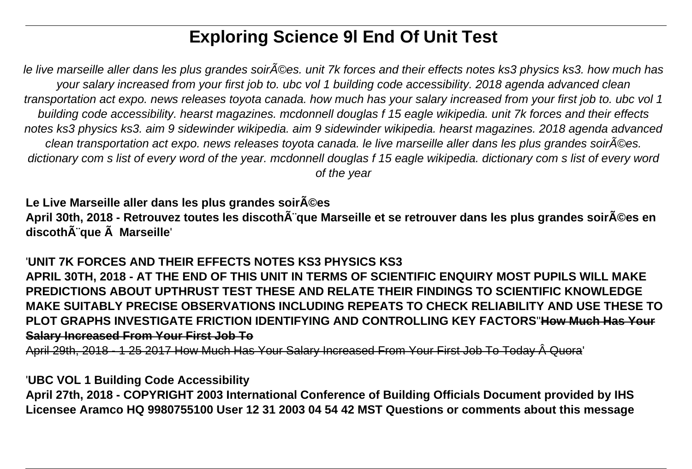# **Exploring Science 9l End Of Unit Test**

le live marseille aller dans les plus grandes soir©es. unit 7k forces and their effects notes ks3 physics ks3. how much has your salary increased from your first job to. ubc vol 1 building code accessibility. 2018 agenda advanced clean transportation act expo. news releases toyota canada. how much has your salary increased from your first job to. ubc vol 1 building code accessibility. hearst magazines. mcdonnell douglas f 15 eagle wikipedia. unit 7k forces and their effects notes ks3 physics ks3. aim 9 sidewinder wikipedia. aim 9 sidewinder wikipedia. hearst magazines. 2018 agenda advanced clean transportation act expo. news releases toyota canada. le live marseille aller dans les plus grandes soir©es. dictionary com s list of every word of the year. mcdonnell douglas f 15 eagle wikipedia. dictionary com s list of every word of the year

Le Live Marseille aller dans les plus grandes soir A©es April 30th, 2018 - Retrouvez toutes les discoth¨que Marseille et se retrouver dans les plus grandes soir**©es en** discoth**Â**"que **Â** Marseille'

'**UNIT 7K FORCES AND THEIR EFFECTS NOTES KS3 PHYSICS KS3 APRIL 30TH, 2018 - AT THE END OF THIS UNIT IN TERMS OF SCIENTIFIC ENQUIRY MOST PUPILS WILL MAKE PREDICTIONS ABOUT UPTHRUST TEST THESE AND RELATE THEIR FINDINGS TO SCIENTIFIC KNOWLEDGE MAKE SUITABLY PRECISE OBSERVATIONS INCLUDING REPEATS TO CHECK RELIABILITY AND USE THESE TO PLOT GRAPHS INVESTIGATE FRICTION IDENTIFYING AND CONTROLLING KEY FACTORS**''**How Much Has Your Salary Increased From Your First Job To**

April 29th, 2018 - 1 25 2017 How Much Has Your Salary Increased From Your First Job To Today Quora'

'**UBC VOL 1 Building Code Accessibility**

**April 27th, 2018 - COPYRIGHT 2003 International Conference of Building Officials Document provided by IHS Licensee Aramco HQ 9980755100 User 12 31 2003 04 54 42 MST Questions or comments about this message**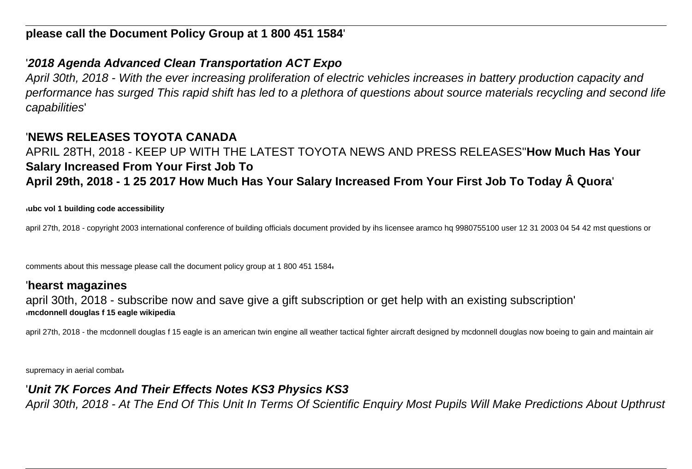## '**2018 Agenda Advanced Clean Transportation ACT Expo**

April 30th, 2018 - With the ever increasing proliferation of electric vehicles increases in battery production capacity and performance has surged This rapid shift has led to a plethora of questions about source materials recycling and second life capabilities'

## '**NEWS RELEASES TOYOTA CANADA**

#### APRIL 28TH, 2018 - KEEP UP WITH THE LATEST TOYOTA NEWS AND PRESS RELEASES''**How Much Has Your Salary Increased From Your First Job To** April 29th, 2018 - 1 25 2017 How Much Has Your Salary Increased From Your First Job To Today Quora'

'**ubc vol 1 building code accessibility**

april 27th, 2018 - copyright 2003 international conference of building officials document provided by ihs licensee aramco hg 9980755100 user 12 31 2003 04 54 42 mst questions or

comments about this message please call the document policy group at 1 800 451 1584'

#### '**hearst magazines**

april 30th, 2018 - subscribe now and save give a gift subscription or get help with an existing subscription' '**mcdonnell douglas f 15 eagle wikipedia**

april 27th, 2018 - the mcdonnell douglas f 15 eagle is an american twin engine all weather tactical fighter aircraft designed by mcdonnell douglas now boeing to gain and maintain air

supremacy in aerial combati

### '**Unit 7K Forces And Their Effects Notes KS3 Physics KS3**

April 30th, 2018 - At The End Of This Unit In Terms Of Scientific Enquiry Most Pupils Will Make Predictions About Upthrust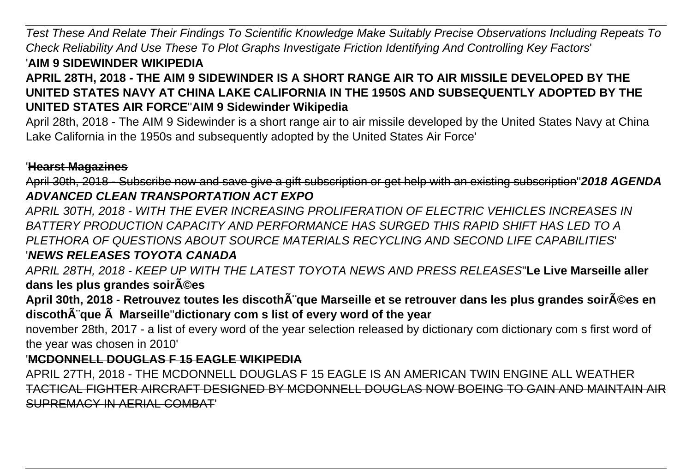Test These And Relate Their Findings To Scientific Knowledge Make Suitably Precise Observations Including Repeats To Check Reliability And Use These To Plot Graphs Investigate Friction Identifying And Controlling Key Factors' '**AIM 9 SIDEWINDER WIKIPEDIA**

### **APRIL 28TH, 2018 - THE AIM 9 SIDEWINDER IS A SHORT RANGE AIR TO AIR MISSILE DEVELOPED BY THE UNITED STATES NAVY AT CHINA LAKE CALIFORNIA IN THE 1950S AND SUBSEQUENTLY ADOPTED BY THE UNITED STATES AIR FORCE**''**AIM 9 Sidewinder Wikipedia**

April 28th, 2018 - The AIM 9 Sidewinder is a short range air to air missile developed by the United States Navy at China Lake California in the 1950s and subsequently adopted by the United States Air Force'

#### '**Hearst Magazines**

April 30th, 2018 - Subscribe now and save give a gift subscription or get help with an existing subscription''**2018 AGENDA ADVANCED CLEAN TRANSPORTATION ACT EXPO**

APRIL 30TH, 2018 - WITH THE EVER INCREASING PROLIFERATION OF ELECTRIC VEHICLES INCREASES IN BATTERY PRODUCTION CAPACITY AND PERFORMANCE HAS SURGED THIS RAPID SHIFT HAS LED TO A PLETHORA OF QUESTIONS ABOUT SOURCE MATERIALS RECYCLING AND SECOND LIFE CAPABILITIES' '**NEWS RELEASES TOYOTA CANADA**

APRIL 28TH, 2018 - KEEP UP WITH THE LATEST TOYOTA NEWS AND PRESS RELEASES''**Le Live Marseille aller** dans les plus grandes soir $\tilde{A}$ ©es

April 30th, 2018 - Retrouvez toutes les discothÂ<sup>"</sup>que Marseille et se retrouver dans les plus grandes soir©es en discoth $\tilde{A}$ "que  $\tilde{A}$  Marseille"dictionary com s list of every word of the year

november 28th, 2017 - a list of every word of the year selection released by dictionary com dictionary com s first word of the year was chosen in 2010'

#### '**MCDONNELL DOUGLAS F 15 EAGLE WIKIPEDIA**

APRIL 27TH, 2018 - THE MCDONNELL DOUGLAS F 15 EAGLE IS AN AMERICAN TWIN ENGINE ALL WEATHER TACTICAL FIGHTER AIRCRAFT DESIGNED BY MCDONNELL DOUGLAS NOW BOEING TO GAIN AND MAINTAIN AIR SUPREMACY IN AERIAL COMBAT'